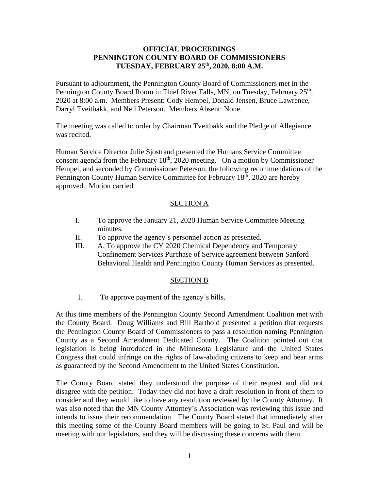## **OFFICIAL PROCEEDINGS PENNINGTON COUNTY BOARD OF COMMISSIONERS TUESDAY, FEBRUARY 25** th **, 2020, 8:00 A.M.**

Pursuant to adjournment, the Pennington County Board of Commissioners met in the Pennington County Board Room in Thief River Falls, MN, on Tuesday, February 25<sup>th</sup>, 2020 at 8:00 a.m. Members Present: Cody Hempel, Donald Jensen, Bruce Lawrence, Darryl Tveitbakk, and Neil Peterson. Members Absent: None.

The meeting was called to order by Chairman Tveitbakk and the Pledge of Allegiance was recited.

Human Service Director Julie Sjostrand presented the Humans Service Committee consent agenda from the February  $18<sup>th</sup>$ , 2020 meeting. On a motion by Commissioner Hempel, and seconded by Commissioner Peterson, the following recommendations of the Pennington County Human Service Committee for February 18<sup>th</sup>, 2020 are hereby approved. Motion carried.

## SECTION A

- I. To approve the January 21, 2020 Human Service Committee Meeting minutes.
- II. To approve the agency's personnel action as presented.
- III. A. To approve the CY 2020 Chemical Dependency and Temporary Confinement Services Purchase of Service agreement between Sanford Behavioral Health and Pennington County Human Services as presented.

#### SECTION B

I. To approve payment of the agency's bills.

At this time members of the Pennington County Second Amendment Coalition met with the County Board. Doug Williams and Bill Barthold presented a petition that requests the Pennington County Board of Commissioners to pass a resolution naming Pennington County as a Second Amendment Dedicated County. The Coalition pointed out that legislation is being introduced in the Minnesota Legislature and the United States Congress that could infringe on the rights of law-abiding citizens to keep and bear arms as guaranteed by the Second Amendment to the United States Constitution.

The County Board stated they understood the purpose of their request and did not disagree with the petition. Today they did not have a draft resolution in front of them to consider and they would like to have any resolution reviewed by the County Attorney. It was also noted that the MN County Attorney's Association was reviewing this issue and intends to issue their recommendation. The County Board stated that immediately after this meeting some of the County Board members will be going to St. Paul and will be meeting with our legislators, and they will be discussing these concerns with them.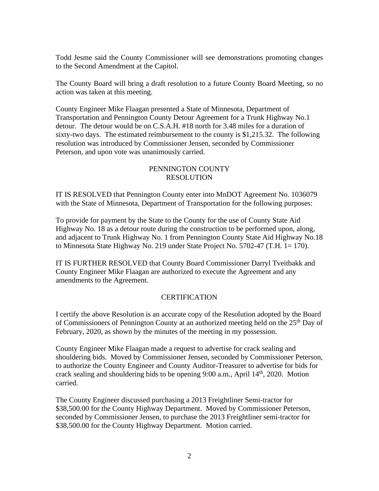Todd Jesme said the County Commissioner will see demonstrations promoting changes to the Second Amendment at the Capitol.

The County Board will bring a draft resolution to a future County Board Meeting, so no action was taken at this meeting.

County Engineer Mike Flaagan presented a State of Minnesota, Department of Transportation and Pennington County Detour Agreement for a Trunk Highway No.1 detour. The detour would be on C.S.A.H. #18 north for 3.48 miles for a duration of sixty-two days. The estimated reimbursement to the county is \$1,215.32. The following resolution was introduced by Commissioner Jensen, seconded by Commissioner Peterson, and upon vote was unanimously carried.

# PENNINGTON COUNTY RESOLUTION

IT IS RESOLVED that Pennington County enter into MnDOT Agreement No. 1036079 with the State of Minnesota, Department of Transportation for the following purposes:

To provide for payment by the State to the County for the use of County State Aid Highway No. 18 as a detour route during the construction to be performed upon, along, and adjacent to Trunk Highway No. 1 from Pennington County State Aid Highway No.18 to Minnesota State Highway No. 219 under State Project No. 5702-47 (T.H. 1= 170).

IT IS FURTHER RESOLVED that County Board Commissioner Darryl Tveitbakk and County Engineer Mike Flaagan are authorized to execute the Agreement and any amendments to the Agreement.

# **CERTIFICATION**

I certify the above Resolution is an accurate copy of the Resolution adopted by the Board of Commissioners of Pennington County at an authorized meeting held on the  $25<sup>th</sup>$  Day of February, 2020, as shown by the minutes of the meeting in my possession.

County Engineer Mike Flaagan made a request to advertise for crack sealing and shouldering bids. Moved by Commissioner Jensen, seconded by Commissioner Peterson, to authorize the County Engineer and County Auditor-Treasurer to advertise for bids for crack sealing and shouldering bids to be opening 9:00 a.m., April 14<sup>th</sup>, 2020. Motion carried.

The County Engineer discussed purchasing a 2013 Freightliner Semi-tractor for \$38,500.00 for the County Highway Department. Moved by Commissioner Peterson, seconded by Commissioner Jensen, to purchase the 2013 Freightliner semi-tractor for \$38,500.00 for the County Highway Department. Motion carried.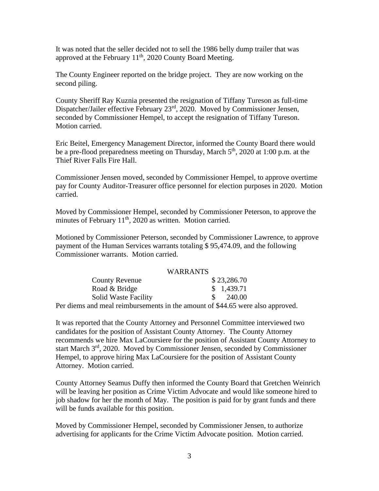It was noted that the seller decided not to sell the 1986 belly dump trailer that was approved at the February  $11<sup>th</sup>$ , 2020 County Board Meeting.

The County Engineer reported on the bridge project. They are now working on the second piling.

County Sheriff Ray Kuznia presented the resignation of Tiffany Tureson as full-time Dispatcher/Jailer effective February 23<sup>rd</sup>, 2020. Moved by Commissioner Jensen, seconded by Commissioner Hempel, to accept the resignation of Tiffany Tureson. Motion carried.

Eric Beitel, Emergency Management Director, informed the County Board there would be a pre-flood preparedness meeting on Thursday, March 5<sup>th</sup>, 2020 at 1:00 p.m. at the Thief River Falls Fire Hall.

Commissioner Jensen moved, seconded by Commissioner Hempel, to approve overtime pay for County Auditor-Treasurer office personnel for election purposes in 2020. Motion carried.

Moved by Commissioner Hempel, seconded by Commissioner Peterson, to approve the minutes of February 11<sup>th</sup>, 2020 as written. Motion carried.

Motioned by Commissioner Peterson, seconded by Commissioner Lawrence, to approve payment of the Human Services warrants totaling \$ 95,474.09, and the following Commissioner warrants. Motion carried.

#### WARRANTS

| <b>County Revenue</b>                                                       | \$23,286.70                      |
|-----------------------------------------------------------------------------|----------------------------------|
| Road & Bridge                                                               | \$1,439.71                       |
| <b>Solid Waste Facility</b>                                                 | $\frac{\text{S}}{\text{240.00}}$ |
| er diems and meal reimbursements in the amount of $$44.65$ were also appro- |                                  |

Per diems and meal reimbursements in the amount of \$44.65 were also approved.

It was reported that the County Attorney and Personnel Committee interviewed two candidates for the position of Assistant County Attorney. The County Attorney recommends we hire Max LaCoursiere for the position of Assistant County Attorney to start March 3rd, 2020. Moved by Commissioner Jensen, seconded by Commissioner Hempel, to approve hiring Max LaCoursiere for the position of Assistant County Attorney. Motion carried.

County Attorney Seamus Duffy then informed the County Board that Gretchen Weinrich will be leaving her position as Crime Victim Advocate and would like someone hired to job shadow for her the month of May. The position is paid for by grant funds and there will be funds available for this position.

Moved by Commissioner Hempel, seconded by Commissioner Jensen, to authorize advertising for applicants for the Crime Victim Advocate position. Motion carried.